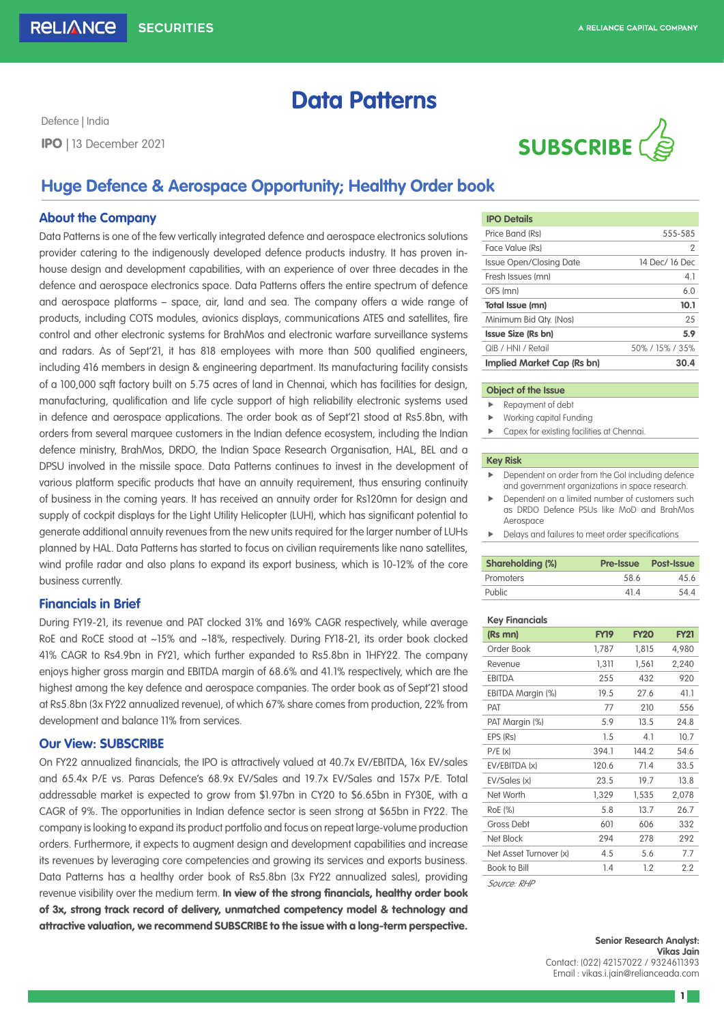# **Data Patterns**

Defence | India



## **Huge Defence & Aerospace Opportunity; Healthy Order book**

### **About the Company**

Data Patterns is one of the few vertically integrated defence and aerospace electronics solutions provider catering to the indigenously developed defence products industry. It has proven inhouse design and development capabilities, with an experience of over three decades in the defence and aerospace electronics space. Data Patterns offers the entire spectrum of defence and aerospace platforms – space, air, land and sea. The company offers a wide range of products, including COTS modules, avionics displays, communications ATES and satellites, fire control and other electronic systems for BrahMos and electronic warfare surveillance systems and radars. As of Sept'21, it has 818 employees with more than 500 qualified engineers, including 416 members in design & engineering department. Its manufacturing facility consists of a 100,000 sqft factory built on 5.75 acres of land in Chennai, which has facilities for design, manufacturing, qualification and life cycle support of high reliability electronic systems used in defence and aerospace applications. The order book as of Sept'21 stood at Rs5.8bn, with orders from several marquee customers in the Indian defence ecosystem, including the Indian defence ministry, BrahMos, DRDO, the Indian Space Research Organisation, HAL, BEL and a DPSU involved in the missile space. Data Patterns continues to invest in the development of various platform specific products that have an annuity requirement, thus ensuring continuity of business in the coming years. It has received an annuity order for Rs120mn for design and supply of cockpit displays for the Light Utility Helicopter (LUH), which has significant potential to generate additional annuity revenues from the new units required for the larger number of LUHs planned by HAL. Data Patterns has started to focus on civilian requirements like nano satellites, wind profile radar and also plans to expand its export business, which is 10-12% of the core business currently.

## **Financials in Brief**

During FY19-21, its revenue and PAT clocked 31% and 169% CAGR respectively, while average RoE and RoCE stood at ~15% and ~18%, respectively. During FY18-21, its order book clocked 41% CAGR to Rs4.9bn in FY21, which further expanded to Rs5.8bn in 1HFY22. The company enjoys higher gross margin and EBITDA margin of 68.6% and 41.1% respectively, which are the highest among the key defence and aerospace companies. The order book as of Sept'21 stood at Rs5.8bn (3x FY22 annualized revenue), of which 67% share comes from production, 22% from development and balance 11% from services.

## **Our View: SUBSCRIBE**

On FY22 annualized financials, the IPO is attractively valued at 40.7x EV/EBITDA, 16x EV/sales and 65.4x P/E vs. Paras Defence's 68.9x EV/Sales and 19.7x EV/Sales and 157x P/E. Total addressable market is expected to grow from \$1.97bn in CY20 to \$6.65bn in FY30E, with a CAGR of 9%. The opportunities in Indian defence sector is seen strong at \$65bn in FY22. The company is looking to expand its product portfolio and focus on repeat large-volume production orders. Furthermore, it expects to augment design and development capabilities and increase its revenues by leveraging core competencies and growing its services and exports business. Data Patterns has a healthy order book of Rs5.8bn (3x FY22 annualized sales), providing revenue visibility over the medium term. In view of the strong financials, healthy order book of 3x, strong track record of delivery, unmatched competency model & technology and attractive valuation, we recommend SUBSCRIBE to the issue with a long-term perspective.

| <b>IPO Details</b>             |                |
|--------------------------------|----------------|
| Price Band (Rs)                | 555-585        |
| Face Value (Rs)                | 2              |
| <b>Issue Open/Closing Date</b> | 14 Dec/ 16 Dec |
| Fresh Issues (mn)              | 4.1            |
| OFS (mn)                       | 6.0            |
| <b>Total Issue (mn)</b>        | 10.1           |
| Minimum Bid Qty. (Nos)         | 25             |
| <b>Issue Size (Rs bn)</b>      | 5.9            |
| QIB / HNI / Retail             | 50%/15%/35%    |
| Implied Market Cap (Rs bn)     | 30.4           |

#### **Object of the Issue**

- **Repayment of debt**
- $\blacktriangleright$  Working capital Funding
- $\blacktriangleright$  Capex for existing facilities at Chennai.

#### **Key Risk**

- Dependent on order from the GoI including defence and government organizations in space research.
- $\blacktriangleright$  Dependent on a limited number of customers such as DRDO Defence PSUs like MoD and BrahMos Aerospace
- $\blacktriangleright$  Delays and failures to meet order specifications

| <b>Shareholding (%)</b> |      | <b>Pre-Issue Post-Issue</b> |  |
|-------------------------|------|-----------------------------|--|
| Promoters               | 58.6 | 456                         |  |
| Public                  | 414  | 544                         |  |

#### **Key Financials**

| (Rs mn)                | FY19  | <b>FY20</b> | <b>FY21</b> |
|------------------------|-------|-------------|-------------|
| Order Book             | 1,787 | 1,815       | 4,980       |
| Revenue                | 1,311 | 1,561       | 2,240       |
| <b>EBITDA</b>          | 255   | 432         | 920         |
| EBITDA Margin (%)      | 19.5  | 27.6        | 41.1        |
| PAT                    | 77    | 210         | 556         |
| PAT Margin (%)         | 5.9   | 13.5        | 24.8        |
| EPS (Rs)               | 1.5   | 4.1         | 10.7        |
| P/E(x)                 | 394.1 | 144.2       | 54.6        |
| EV/EBITDA (x)          | 120.6 | 71.4        | 33.5        |
| EV/Sales (x)           | 23.5  | 19.7        | 13.8        |
| Net Worth              | 1,329 | 1,535       | 2,078       |
| RoE (%)                | 5.8   | 13.7        | 26.7        |
| Gross Debt             | 601   | 606         | 332         |
| Net Block              | 294   | 278         | 292         |
| Net Asset Turnover (x) | 4.5   | 5.6         | 7.7         |
| Book to Bill           | 1.4   | 1.2         | 2.2         |
| <i>Source: RHP</i>     |       |             |             |

**Senior Research Analyst: Vikas Jain** Contact: (022) 42157022 / 9324611393 Email : vikas.i.jain@relianceada.com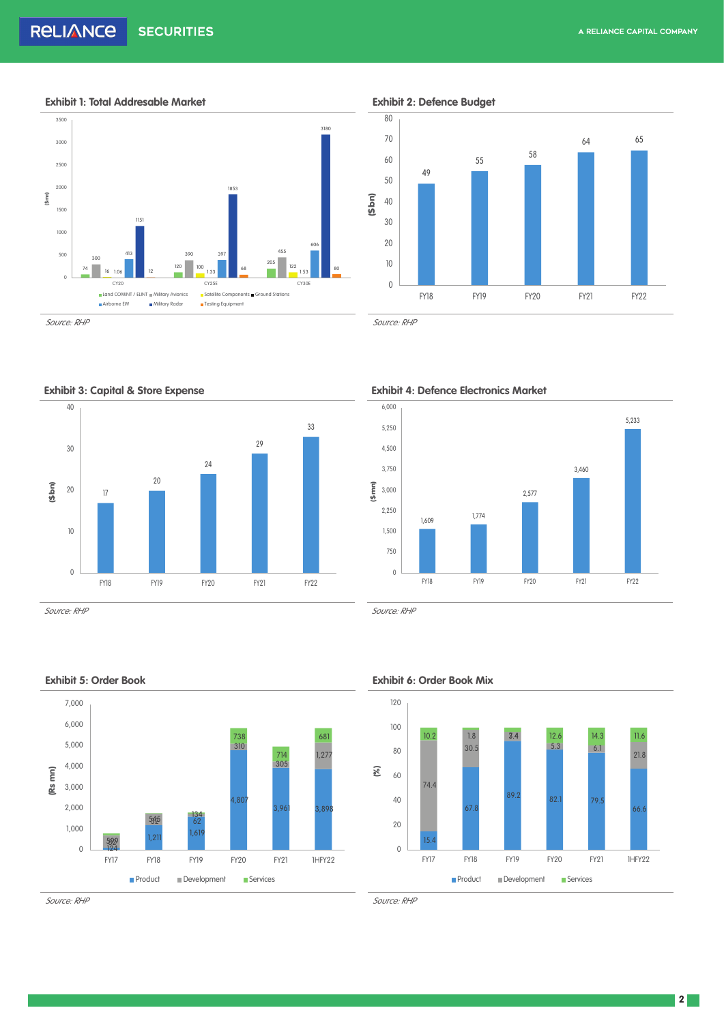**Exhibit 1: Total Addresable Market Exhibit 2: Defence Budget**